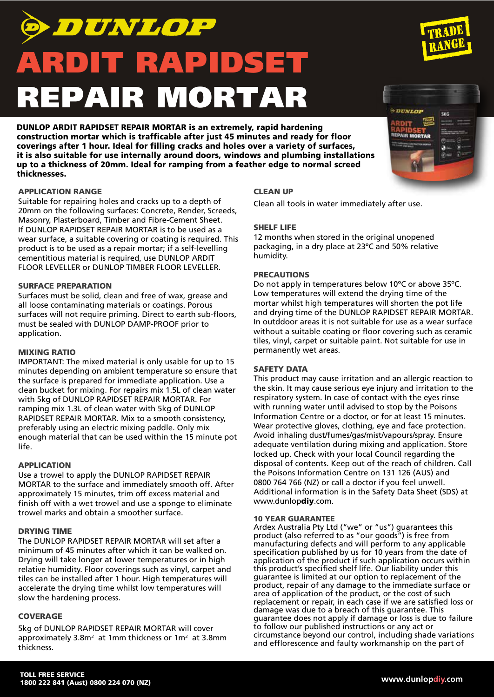# DUNLOP ARDIT RAPIDSET REPAIR MORTAR

DUNLOP ARDIT RAPIDSET REPAIR MORTAR is an extremely, rapid hardening construction mortar which is trafficable after just 45 minutes and ready for floor coverings after 1 hour. Ideal for filling cracks and holes over a variety of surfaces, it is also suitable for use internally around doors, windows and plumbing installations up to a thickness of 20mm. Ideal for ramping from a feather edge to normal screed thicknesses.

# APPLICATION RANGE

Suitable for repairing holes and cracks up to a depth of 20mm on the following surfaces: Concrete, Render, Screeds, Masonry, Plasterboard, Timber and Fibre-Cement Sheet. If DUNLOP RAPIDSET REPAIR MORTAR is to be used as a wear surface, a suitable covering or coating is required. This product is to be used as a repair mortar; if a self-levelling cementitious material is required, use DUNLOP ARDIT FLOOR LEVELLER or DUNLOP TIMBER FLOOR LEVELLER.

# SURFACE PREPARATION

Surfaces must be solid, clean and free of wax, grease and all loose contaminating materials or coatings. Porous surfaces will not require priming. Direct to earth sub-floors, must be sealed with DUNLOP DAMP-PROOF prior to application.

# MIXING RATIO

IMPORTANT: The mixed material is only usable for up to 15 minutes depending on ambient temperature so ensure that the surface is prepared for immediate application. Use a clean bucket for mixing. For repairs mix 1.5L of clean water with 5kg of DUNLOP RAPIDSET REPAIR MORTAR. For ramping mix 1.3L of clean water with 5kg of DUNLOP RAPIDSET REPAIR MORTAR. Mix to a smooth consistency, preferably using an electric mixing paddle. Only mix enough material that can be used within the 15 minute pot life.

# APPLICATION

Use a trowel to apply the DUNLOP RAPIDSET REPAIR MORTAR to the surface and immediately smooth off. After approximately 15 minutes, trim off excess material and finish off with a wet trowel and use a sponge to eliminate trowel marks and obtain a smoother surface.

# DRYING TIME

The DUNLOP RAPIDSET REPAIR MORTAR will set after a minimum of 45 minutes after which it can be walked on. Drying will take longer at lower temperatures or in high relative humidity. Floor coverings such as vinyl, carpet and tiles can be installed after 1 hour. High temperatures will accelerate the drying time whilst low temperatures will slow the hardening process.

# **COVERAGE**

5kg of DUNLOP RAPIDSET REPAIR MORTAR will cover approximately  $3.8m^2$  at 1mm thickness or 1 $m^2$  at 3.8mm thickness.

# CLEAN UP

Clean all tools in water immediately after use.

# SHELF LIFE

12 months when stored in the original unopened packaging, in a dry place at 23ºC and 50% relative humidity.

# PRECAUTIONS

Do not apply in temperatures below 10ºC or above 35ºC. Low temperatures will extend the drying time of the mortar whilst high temperatures will shorten the pot life and drying time of the DUNLOP RAPIDSET REPAIR MORTAR. In outddoor areas it is not suitable for use as a wear surface without a suitable coating or floor covering such as ceramic tiles, vinyl, carpet or suitable paint. Not suitable for use in permanently wet areas.

# SAFETY DATA

This product may cause irritation and an allergic reaction to the skin. It may cause serious eye injury and irritation to the respiratory system. In case of contact with the eyes rinse with running water until advised to stop by the Poisons Information Centre or a doctor, or for at least 15 minutes. Wear protective gloves, clothing, eye and face protection. Avoid inhaling dust/fumes/gas/mist/vapours/spray. Ensure adequate ventilation during mixing and application. Store locked up. Check with your local Council regarding the disposal of contents. Keep out of the reach of children. Call the Poisons Information Centre on 131 126 (AUS) and 0800 764 766 (NZ) or call a doctor if you feel unwell. Additional information is in the Safety Data Sheet (SDS) at www.dunlopdiy.com.

#### 10 YEAR GUARANTEE

Ardex Australia Pty Ltd ("we" or "us") guarantees this product (also referred to as "our goods") is free from manufacturing defects and will perform to any applicable specification published by us for 10 years from the date of application of the product if such application occurs within this product's specified shelf life. Our liability under this guarantee is limited at our option to replacement of the product, repair of any damage to the immediate surface or area of application of the product, or the cost of such replacement or repair, in each case if we are satisfied loss or damage was due to a breach of this guarantee. This guarantee does not apply if damage or loss is due to failure to follow our published instructions or any act or circumstance beyond our control, including shade variations and efflorescence and faulty workmanship on the part of